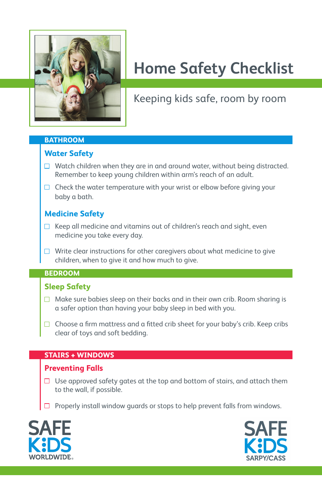

# **Home Safety Checklist**

# Keeping kids safe, room by room

#### **BATHROOM**

# **Water Safety**

- $\Box$  Watch children when they are in and around water, without being distracted. Remember to keep young children within arm's reach of an adult.
- $\Box$  Check the water temperature with your wrist or elbow before giving your baby a bath.

# **Medicine Safety**

- $\Box$  Keep all medicine and vitamins out of children's reach and sight, even medicine you take every day.
- $\Box$  Write clear instructions for other caregivers about what medicine to give children, when to give it and how much to give.

#### **BEDROOM**

# **Sleep Safety**

- $\Box$  Make sure babies sleep on their backs and in their own crib. Room sharing is a safer option than having your baby sleep in bed with you.
- $\Box$  Choose a firm mattress and a fitted crib sheet for your baby's crib. Keep cribs clear of toys and soft bedding.

# **STAIRS + WINDOWS**

#### **Preventing Falls**

- $\Box$  Use approved safety gates at the top and bottom of stairs, and attach them to the wall, if possible.
- $\Box$  Properly install window guards or stops to help prevent falls from windows.